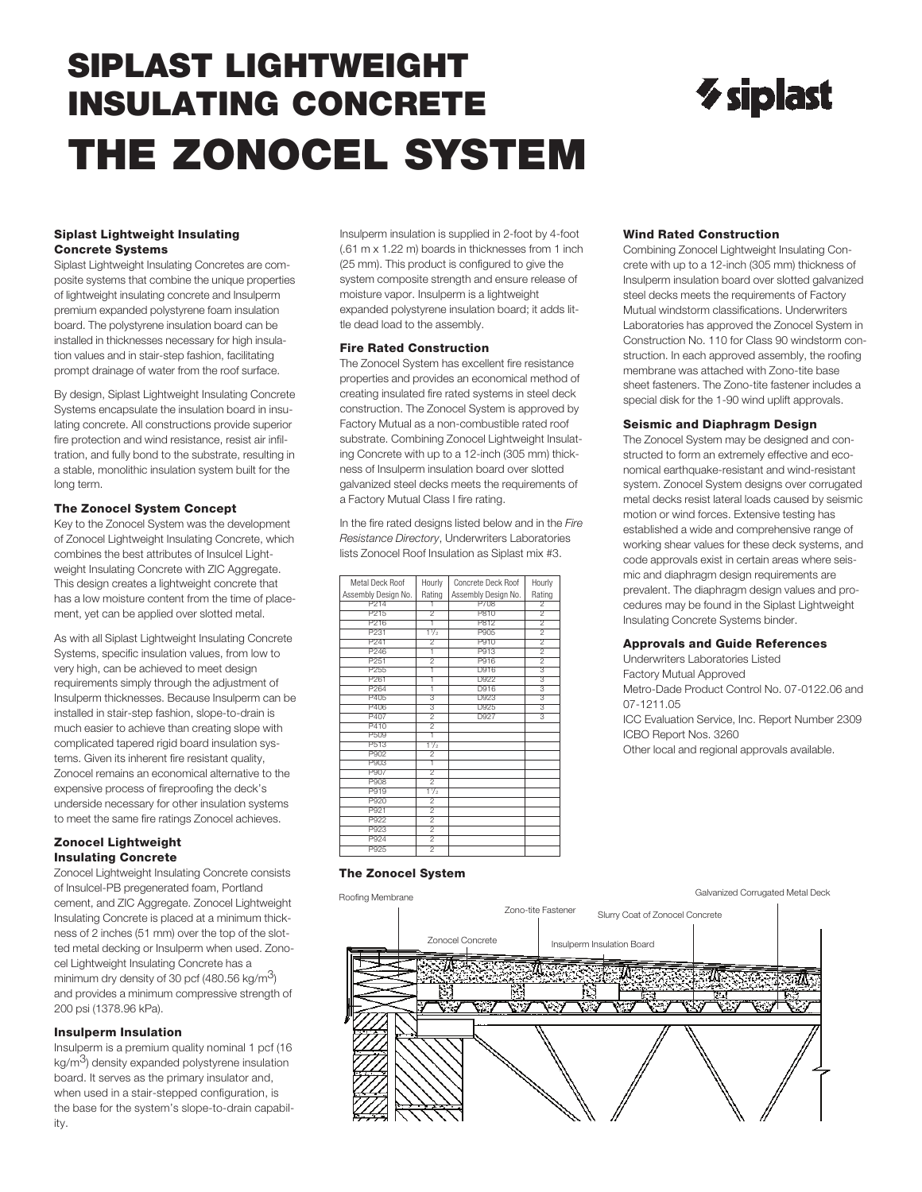## **SIPLAST LIGHTWEIGHT INSULATING CONCRETE THE ZONOCEL SYSTEM**

# $\gamma$  siplast

#### **Siplast Lightweight Insulating Concrete Systems**

Siplast Lightweight Insulating Concretes are composite systems that combine the unique properties of lightweight insulating concrete and Insulperm premium expanded polystyrene foam insulation board. The polystyrene insulation board can be installed in thicknesses necessary for high insulation values and in stair-step fashion, facilitating prompt drainage of water from the roof surface.

By design, Siplast Lightweight Insulating Concrete Systems encapsulate the insulation board in insulating concrete. All constructions provide superior fire protection and wind resistance, resist air infiltration, and fully bond to the substrate, resulting in a stable, monolithic insulation system built for the long term.

#### **The Zonocel System Concept**

Key to the Zonocel System was the development of Zonocel Lightweight Insulating Concrete, which combines the best attributes of Insulcel Lightweight Insulating Concrete with ZIC Aggregate. This design creates a lightweight concrete that has a low moisture content from the time of placement, yet can be applied over slotted metal.

As with all Siplast Lightweight Insulating Concrete Systems, specific insulation values, from low to very high, can be achieved to meet design requirements simply through the adjustment of Insulperm thicknesses. Because Insulperm can be installed in stair-step fashion, slope-to-drain is much easier to achieve than creating slope with complicated tapered rigid board insulation systems. Given its inherent fire resistant quality, Zonocel remains an economical alternative to the expensive process of fireproofing the deck's underside necessary for other insulation systems to meet the same fire ratings Zonocel achieves.

#### **Zonocel Lightweight Insulating Concrete**

Zonocel Lightweight Insulating Concrete consists of Insulcel-PB pregenerated foam, Portland cement, and ZIC Aggregate. Zonocel Lightweight Insulating Concrete is placed at a minimum thickness of 2 inches (51 mm) over the top of the slotted metal decking or Insulperm when used. Zonocel Lightweight Insulating Concrete has a minimum dry density of 30 pcf (480.56 kg/m<sup>3</sup>) and provides a minimum compressive strength of 200 psi (1378.96 kPa).

#### **Insulperm Insulation**

Insulperm is a premium quality nominal 1 pcf (16  $kg/m<sup>3</sup>$ ) density expanded polystyrene insulation board. It serves as the primary insulator and, when used in a stair-stepped configuration, is the base for the system's slope-to-drain capability.

Insulperm insulation is supplied in 2-foot by 4-foot (.61 m x 1.22 m) boards in thicknesses from 1 inch (25 mm). This product is configured to give the system composite strength and ensure release of moisture vapor. Insulperm is a lightweight expanded polystyrene insulation board; it adds little dead load to the assembly.

#### **Fire Rated Construction**

The Zonocel System has excellent fire resistance properties and provides an economical method of creating insulated fire rated systems in steel deck construction. The Zonocel System is approved by Factory Mutual as a non-combustible rated roof substrate. Combining Zonocel Lightweight Insulating Concrete with up to a 12-inch (305 mm) thickness of Insulperm insulation board over slotted galvanized steel decks meets the requirements of a Factory Mutual Class I fire rating.

In the fire rated designs listed below and in the *Fire Resistance Directory*, Underwriters Laboratories lists Zonocel Roof Insulation as Siplast mix #3.

| Metal Deck Roof     | Hourly                               | Concrete Deck Roof  | Hourly                               |
|---------------------|--------------------------------------|---------------------|--------------------------------------|
| Assembly Design No. | Rating                               | Assembly Design No. | Rating                               |
| P <sub>214</sub>    | 1                                    | P708                | $\overline{2}$                       |
| P215                | $\overline{2}$                       | P810                | $\overline{2}$                       |
| P216                | ī                                    | P812                | $\overline{2}$                       |
| P231                | $1\frac{1}{2}$                       | P905                | $\overline{2}$                       |
| P241                | $\overline{2}$                       | P910                | $\overline{2}$                       |
| P <sub>246</sub>    | ī                                    | P913                | $\overline{2}$                       |
| P <sub>251</sub>    | $\overline{2}$                       | P916                | $\overline{2}$                       |
| P <sub>255</sub>    | ī                                    | D916                | 3                                    |
| P <sub>261</sub>    | ī                                    | D922                | $\overline{3}$                       |
| P264                | Ŧ                                    | D916                | $\overline{3}$                       |
| P405                | 3                                    | D923                | 3                                    |
| P406                | $\overline{\overline{\overline{3}}}$ | D925                | $\overline{\overline{\overline{3}}}$ |
| P407                | $\overline{2}$                       | D927                | $\overline{\overline{\overline{3}}}$ |
| P410                | $\overline{2}$                       |                     |                                      |
| P509                | ī                                    |                     |                                      |
| P513                | $1\frac{1}{2}$                       |                     |                                      |
| P902                | $\overline{2}$                       |                     |                                      |
| P903                | ī                                    |                     |                                      |
| P907                | $\overline{2}$                       |                     |                                      |
| P908                | $\overline{2}$                       |                     |                                      |
| P919                | $1\frac{1}{2}$                       |                     |                                      |
| P920                | $\overline{2}$                       |                     |                                      |
| P921                | $\overline{2}$                       |                     |                                      |
| P922                | $\overline{2}$                       |                     |                                      |
| P923                | $\overline{2}$                       |                     |                                      |
| P924                | $\overline{2}$                       |                     |                                      |
| P925                | 2                                    |                     |                                      |

#### **Wind Rated Construction**

Combining Zonocel Lightweight Insulating Concrete with up to a 12-inch (305 mm) thickness of Insulperm insulation board over slotted galvanized steel decks meets the requirements of Factory Mutual windstorm classifications. Underwriters Laboratories has approved the Zonocel System in Construction No. 110 for Class 90 windstorm construction. In each approved assembly, the roofing membrane was attached with Zono-tite base sheet fasteners. The Zono-tite fastener includes a special disk for the 1-90 wind uplift approvals.

#### **Seismic and Diaphragm Design**

The Zonocel System may be designed and constructed to form an extremely effective and economical earthquake-resistant and wind-resistant system. Zonocel System designs over corrugated metal decks resist lateral loads caused by seismic motion or wind forces. Extensive testing has established a wide and comprehensive range of working shear values for these deck systems, and code approvals exist in certain areas where seismic and diaphragm design requirements are prevalent. The diaphragm design values and procedures may be found in the Siplast Lightweight Insulating Concrete Systems binder.

#### **Approvals and Guide References**

Underwriters Laboratories Listed Factory Mutual Approved Metro-Dade Product Control No. 07-0122.06 and 07-1211.05 ICC Evaluation Service, Inc. Report Number 2309 ICBO Report Nos. 3260 Other local and regional approvals available.

#### **The Zonocel System**

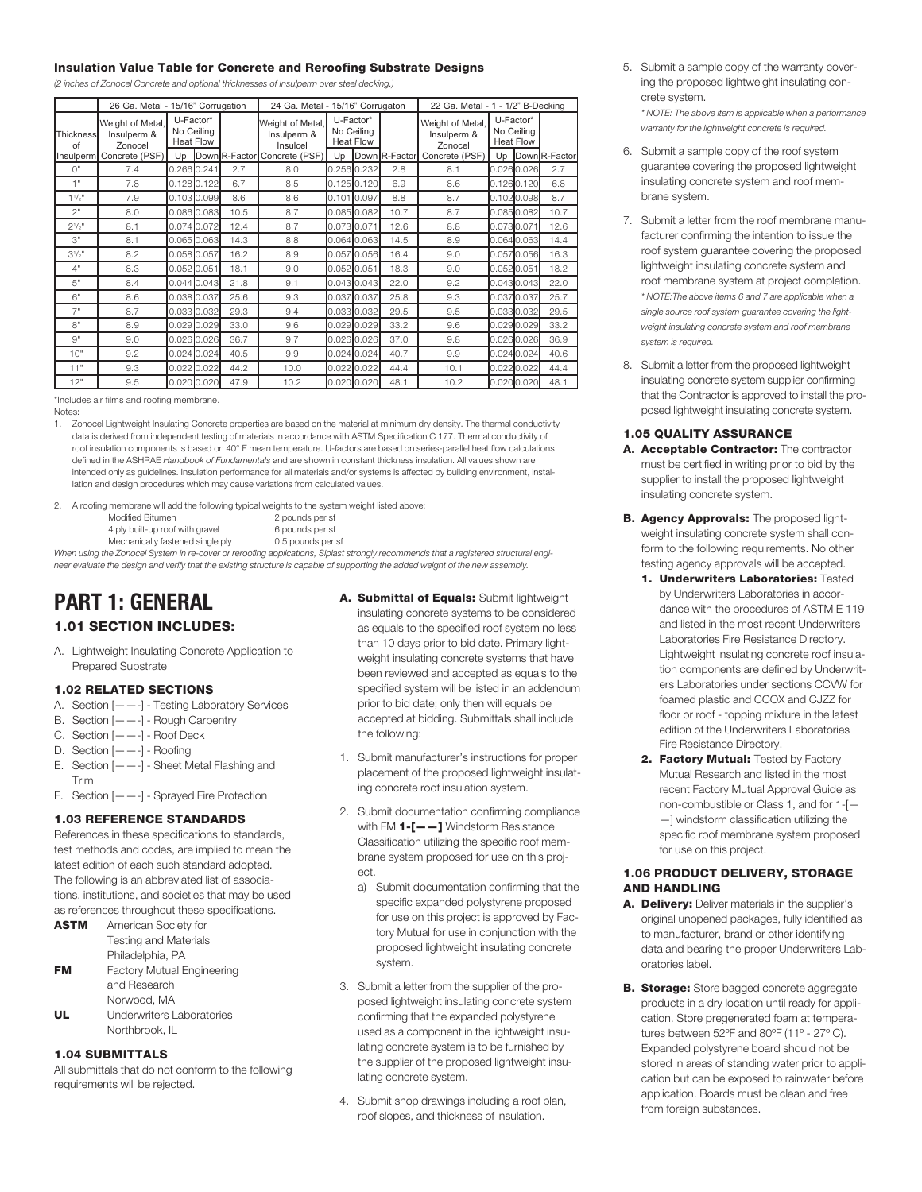#### **Insulation Value Table for Concrete and Reroofing Substrate Designs**

*(2 inches of Zonocel Concrete and optional thicknesses of Insulperm over steel decking.)*

|                                                                      | 26 Ga. Metal - 15/16" Corrugation |                                             |  |      | 24 Ga. Metal - 15/16" Corrugaton            |                                             |               |               | 22 Ga. Metal - 1 - 1/2" B-Decking          |                                             |             |               |
|----------------------------------------------------------------------|-----------------------------------|---------------------------------------------|--|------|---------------------------------------------|---------------------------------------------|---------------|---------------|--------------------------------------------|---------------------------------------------|-------------|---------------|
| Weight of Metal.<br>Insulperm &<br><b>Thickness</b><br>Zonocel<br>of |                                   | U-Factor*<br>No Ceiling<br><b>Heat Flow</b> |  |      | Weight of Metal,<br>Insulperm &<br>Insulcel | U-Factor*<br>No Ceiling<br><b>Heat Flow</b> |               |               | Weight of Metal,<br>Insulperm &<br>Zonocel | U-Factor*<br>No Ceiling<br><b>Heat Flow</b> |             |               |
| Ilnsulperml                                                          | Concrete (PSF)                    | Up                                          |  |      | Down R-Factor Concrete (PSF)                | Up                                          |               | Down R-Factor | Concrete (PSF)                             | Up                                          |             | Down R-Factor |
| $O$ "                                                                | 7.4                               | 0.266 0.241                                 |  | 2.7  | 8.0                                         |                                             | 0.256 0.232   | 2.8           | 8.1                                        |                                             | 0.026 0.026 | 2.7           |
| 1"                                                                   | 7.8                               | $0.128$ 0.122                               |  | 6.7  | 8.5                                         |                                             | 0.125 0.120   | 6.9           | 8.6                                        |                                             | 0.1260.120  | 6.8           |
| $1^{1}/2$ "                                                          | 7.9                               | 0.103 0.099                                 |  | 8.6  | 8.6                                         |                                             | 0.101 0.097   | 8.8           | 8.7                                        |                                             | 0.1020.098  | 8.7           |
| 2"                                                                   | 8.0                               | 0.086 0.083                                 |  | 10.5 | 8.7                                         |                                             | 0.085 0.082   | 10.7          | 8.7                                        |                                             | 0.0850.082  | 10.7          |
| $2^{1/2}$                                                            | 8.1                               | 0.074 0.072                                 |  | 12.4 | 8.7                                         |                                             | 0.0730.071    | 12.6          | 8.8                                        | 0.073 0.071                                 |             | 12.6          |
| 3"                                                                   | 8.1                               | 0.065 0.063                                 |  | 14.3 | 8.8                                         |                                             | 0.064 0.063   | 14.5          | 8.9                                        |                                             | 0.064 0.063 | 14.4          |
| $3^{1/2}$                                                            | 8.2                               | 0.058 0.057                                 |  | 16.2 | 8.9                                         |                                             | 0.057 0.056   | 16.4          | 9.0                                        |                                             | 0.0570.056  | 16.3          |
| 4"                                                                   | 8.3                               | $0.052$ 0.051                               |  | 18.1 | 9.0                                         |                                             | 0.052 0.051   | 18.3          | 9.0                                        | 0.052 0.051                                 |             | 18.2          |
| 5"                                                                   | 8.4                               | $0.044$ 0.043                               |  | 21.8 | 9.1                                         |                                             | 0.043 0.043   | 22.0          | 9.2                                        |                                             | 0.0430.043  | 22.0          |
| 6"                                                                   | 8.6                               | 0.038 0.037                                 |  | 25.6 | 9.3                                         |                                             | 0.037 0.037   | 25.8          | 9.3                                        |                                             | 0.0370.037  | 25.7          |
| 7"                                                                   | 8.7                               | 0.033 0.032                                 |  | 29.3 | 9.4                                         |                                             | 0.033 0.032   | 29.5          | 9.5                                        |                                             | 0.033 0.032 | 29.5          |
| 8"                                                                   | 8.9                               | $0.029$ 0.029                               |  | 33.0 | 9.6                                         |                                             | 0.029 0.029   | 33.2          | 9.6                                        |                                             | 0.0290.029  | 33.2          |
| 9"                                                                   | 9.0                               | $0.026$ 0.026                               |  | 36.7 | 9.7                                         |                                             | 0.026 0.026   | 37.0          | 9.8                                        |                                             | 0.0260.026  | 36.9          |
| 10"                                                                  | 9.2                               | $0.024$ 0.024                               |  | 40.5 | 9.9                                         |                                             | 0.024 0.024   | 40.7          | 9.9                                        |                                             | 0.0240.024  | 40.6          |
| 11"                                                                  | 9.3                               | $0.022$ 0.022                               |  | 44.2 | 10.0                                        |                                             | $0.022$ 0.022 | 44.4          | 10.1                                       |                                             | 0.0220.022  | 44.4          |
| 12"                                                                  | 9.5                               | $0.020$ 0.020                               |  | 47.9 | 10.2                                        |                                             | 0.020 0.020   | 48.1          | 10.2                                       |                                             | 0.020 0.020 | 48.1          |

\*Includes air films and roofing membrane.

Notes:

1. Zonocel Lightweight Insulating Concrete properties are based on the material at minimum dry density. The thermal conductivity data is derived from independent testing of materials in accordance with ASTM Specification C 177. Thermal conductivity of roof insulation components is based on 40° F mean temperature. U-factors are based on series-parallel heat flow calculations defined in the ASHRAE *Handbook of Fundamentals* and are shown in constant thickness insulation. All values shown are intended only as guidelines. Insulation performance for all materials and/or systems is affected by building environment, installation and design procedures which may cause variations from calculated values.

2. A roofing membrane will add the following typical weights to the system weight listed above:

- Modified Bitumen 2 pounds per sf<br>4 ply built-up roof with aravel 6 pounds per sf
- 4 ply built-up roof with gravel

Mechanically fastened single ply 0.5 pounds per sf

When using the Zonocel System in re-cover or reroofing applications, Siplast strongly recommends that a registered structural engineer evaluate the design and verify that the existing structure is capable of supporting the added weight of the new assembly.

## **PART 1: GENERAL**

#### **1.01 SECTION INCLUDES:**

A. Lightweight Insulating Concrete Application to Prepared Substrate

#### **1.02 RELATED SECTIONS**

- A. Section [——-] Testing Laboratory Services
- B. Section [——-] Rough Carpentry
- C. Section [——-] Roof Deck
- D. Section [——-] Roofing
- E. Section  $[- -]$  Sheet Metal Flashing and Trim
- F. Section [——-] Sprayed Fire Protection

#### **1.03 REFERENCE STANDARDS**

References in these specifications to standards, test methods and codes, are implied to mean the latest edition of each such standard adopted. The following is an abbreviated list of associations, institutions, and societies that may be used as references throughout these specifications.

| <b>ASTM</b> | American Society for              |  |
|-------------|-----------------------------------|--|
|             | <b>Testing and Materials</b>      |  |
|             | Philadelphia, PA                  |  |
| FM          | <b>Factory Mutual Engineering</b> |  |
|             | and Research                      |  |
|             | Norwood, MA                       |  |
| UL          | Underwriters Laboratories         |  |
|             | Northbrook. II                    |  |

#### **1.04 SUBMITTALS**

All submittals that do not conform to the following requirements will be rejected.

- **A. Submittal of Equals:** Submit lightweight insulating concrete systems to be considered as equals to the specified roof system no less than 10 days prior to bid date. Primary lightweight insulating concrete systems that have been reviewed and accepted as equals to the specified system will be listed in an addendum prior to bid date; only then will equals be accepted at bidding. Submittals shall include the following:
- 1. Submit manufacturer's instructions for proper placement of the proposed lightweight insulating concrete roof insulation system.
- 2. Submit documentation confirming compliance with FM **1-[——]** Windstorm Resistance Classification utilizing the specific roof membrane system proposed for use on this project.
	- a) Submit documentation confirming that the specific expanded polystyrene proposed for use on this project is approved by Factory Mutual for use in conjunction with the proposed lightweight insulating concrete system.
- 3. Submit a letter from the supplier of the proposed lightweight insulating concrete system confirming that the expanded polystyrene used as a component in the lightweight insulating concrete system is to be furnished by the supplier of the proposed lightweight insulating concrete system.
- 4. Submit shop drawings including a roof plan, roof slopes, and thickness of insulation.

5. Submit a sample copy of the warranty covering the proposed lightweight insulating concrete system. *\* NOTE: The above item is applicable when a performance*

*warranty for the lightweight concrete is required.* 6. Submit a sample copy of the roof system

- guarantee covering the proposed lightweight insulating concrete system and roof membrane system.
- 7. Submit a letter from the roof membrane manufacturer confirming the intention to issue the roof system guarantee covering the proposed lightweight insulating concrete system and roof membrane system at project completion. *\* NOTE:The above items 6 and 7 are applicable when a single source roof system guarantee covering the lightweight insulating concrete system and roof membrane system is required.*
- 8. Submit a letter from the proposed lightweight insulating concrete system supplier confirming that the Contractor is approved to install the proposed lightweight insulating concrete system.

#### **1.05 QUALITY ASSURANCE**

- **A. Acceptable Contractor:** The contractor must be certified in writing prior to bid by the supplier to install the proposed lightweight insulating concrete system.
- **B. Agency Approvals:** The proposed lightweight insulating concrete system shall conform to the following requirements. No other testing agency approvals will be accepted.
	- **1. Underwriters Laboratories:** Tested by Underwriters Laboratories in accordance with the procedures of ASTM E 119 and listed in the most recent Underwriters Laboratories Fire Resistance Directory. Lightweight insulating concrete roof insulation components are defined by Underwriters Laboratories under sections CCVW for foamed plastic and CCOX and CJZZ for floor or roof - topping mixture in the latest edition of the Underwriters Laboratories Fire Resistance Directory.
	- **2. Factory Mutual:** Tested by Factory Mutual Research and listed in the most recent Factory Mutual Approval Guide as non-combustible or Class 1, and for 1-[— —] windstorm classification utilizing the specific roof membrane system proposed for use on this project.

#### **1.06 PRODUCT DELIVERY, STORAGE AND HANDLING**

- **A. Delivery:** Deliver materials in the supplier's original unopened packages, fully identified as to manufacturer, brand or other identifying data and bearing the proper Underwriters Laboratories label.
- **B. Storage:** Store bagged concrete aggregate products in a dry location until ready for application. Store pregenerated foam at temperatures between 52°F and 80°F (11° - 27° C). Expanded polystyrene board should not be stored in areas of standing water prior to application but can be exposed to rainwater before application. Boards must be clean and free from foreign substances.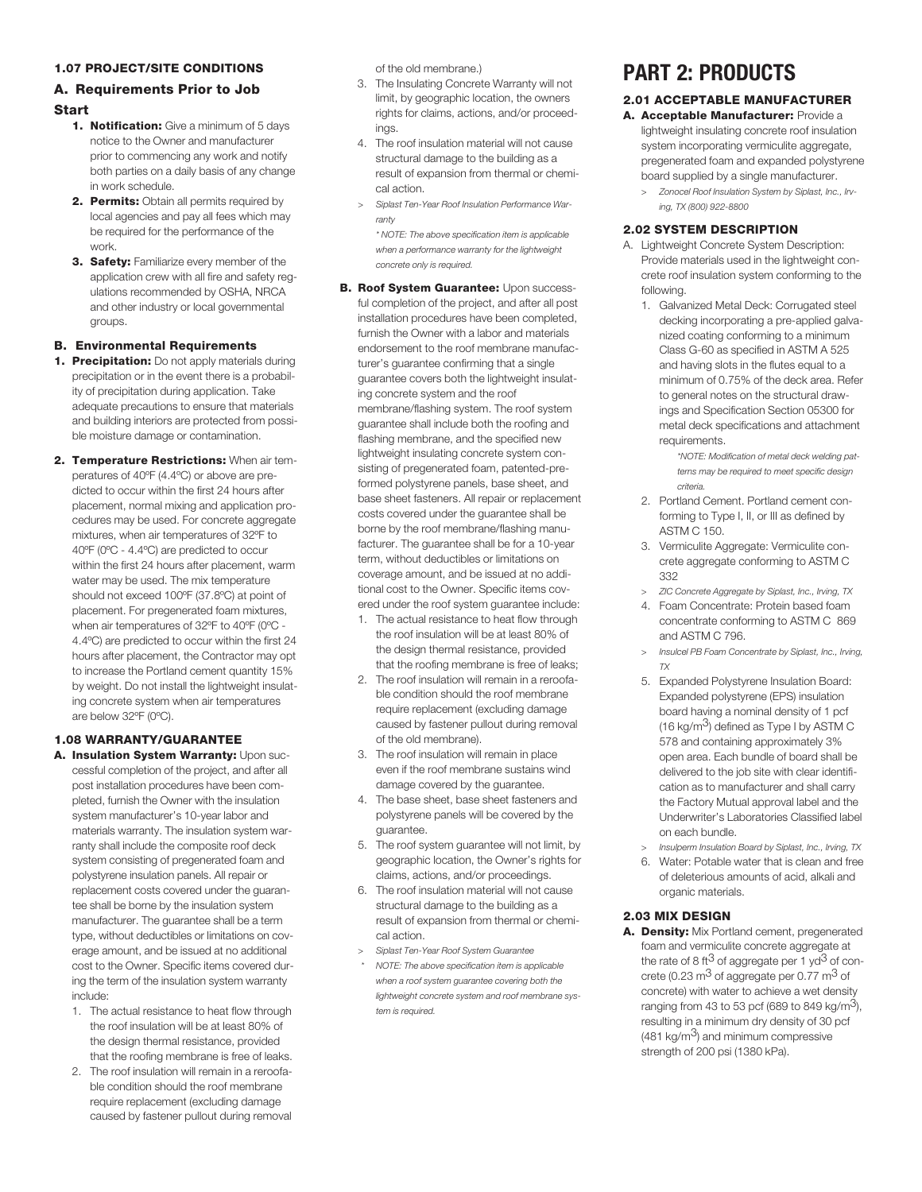#### **1.07 PROJECT/SITE CONDITIONS**

### **A. Requirements Prior to Job**

#### **Start**

- **1. Notification:** Give a minimum of 5 days notice to the Owner and manufacturer prior to commencing any work and notify both parties on a daily basis of any change in work schedule.
- **2. Permits:** Obtain all permits required by local agencies and pay all fees which may be required for the performance of the work.
- **3. Safety:** Familiarize every member of the application crew with all fire and safety regulations recommended by OSHA, NRCA and other industry or local governmental groups.

#### **B. Environmental Requirements**

- **1. Precipitation:** Do not apply materials during precipitation or in the event there is a probability of precipitation during application. Take adequate precautions to ensure that materials and building interiors are protected from possible moisture damage or contamination.
- **2. Temperature Restrictions:** When air temperatures of 40ºF (4.4ºC) or above are predicted to occur within the first 24 hours after placement, normal mixing and application procedures may be used. For concrete aggregate mixtures, when air temperatures of 32ºF to 40ºF (0ºC - 4.4ºC) are predicted to occur within the first 24 hours after placement, warm water may be used. The mix temperature should not exceed 100ºF (37.8ºC) at point of placement. For pregenerated foam mixtures, when air temperatures of 32ºF to 40ºF (0ºC - 4.4ºC) are predicted to occur within the first 24 hours after placement, the Contractor may opt to increase the Portland cement quantity 15% by weight. Do not install the lightweight insulating concrete system when air temperatures are below 32ºF (0ºC).

#### **1.08 WARRANTY/GUARANTEE**

- **A. Insulation System Warranty:** Upon successful completion of the project, and after all post installation procedures have been completed, furnish the Owner with the insulation system manufacturer's 10-year labor and materials warranty. The insulation system warranty shall include the composite roof deck system consisting of pregenerated foam and polystyrene insulation panels. All repair or replacement costs covered under the guarantee shall be borne by the insulation system manufacturer. The guarantee shall be a term type, without deductibles or limitations on coverage amount, and be issued at no additional cost to the Owner. Specific items covered during the term of the insulation system warranty include:
	- 1. The actual resistance to heat flow through the roof insulation will be at least 80% of the design thermal resistance, provided that the roofing membrane is free of leaks.
	- 2. The roof insulation will remain in a reroofable condition should the roof membrane require replacement (excluding damage caused by fastener pullout during removal

of the old membrane.)

- 3. The Insulating Concrete Warranty will not limit, by geographic location, the owners rights for claims, actions, and/or proceedings.
- 4. The roof insulation material will not cause structural damage to the building as a result of expansion from thermal or chemical action.
- *> Siplast Ten-Year Roof Insulation Performance Warranty*

*\* NOTE: The above specification item is applicable when a performance warranty for the lightweight concrete only is required.*

- **B. Roof System Guarantee:** Upon successful completion of the project, and after all post installation procedures have been completed, furnish the Owner with a labor and materials endorsement to the roof membrane manufacturer's guarantee confirming that a single guarantee covers both the lightweight insulating concrete system and the roof membrane/flashing system. The roof system guarantee shall include both the roofing and flashing membrane, and the specified new lightweight insulating concrete system consisting of pregenerated foam, patented-preformed polystyrene panels, base sheet, and base sheet fasteners. All repair or replacement costs covered under the guarantee shall be borne by the roof membrane/flashing manufacturer. The guarantee shall be for a 10-year term, without deductibles or limitations on coverage amount, and be issued at no additional cost to the Owner. Specific items covered under the roof system guarantee include:
	- 1. The actual resistance to heat flow through the roof insulation will be at least 80% of the design thermal resistance, provided that the roofing membrane is free of leaks;
	- 2. The roof insulation will remain in a reroofable condition should the roof membrane require replacement (excluding damage caused by fastener pullout during removal of the old membrane).
	- 3. The roof insulation will remain in place even if the roof membrane sustains wind damage covered by the guarantee.
	- 4. The base sheet, base sheet fasteners and polystyrene panels will be covered by the guarantee.
	- 5. The roof system guarantee will not limit, by geographic location, the Owner's rights for claims, actions, and/or proceedings.
	- 6. The roof insulation material will not cause structural damage to the building as a result of expansion from thermal or chemical action.
	- *> Siplast Ten-Year Roof System Guarantee*
	- *\* NOTE: The above specification item is applicable when a roof system guarantee covering both the lightweight concrete system and roof membrane system is required.*

### **PART 2: PRODUCTS**

#### **2.01 ACCEPTABLE MANUFACTURER**

- **A. Acceptable Manufacturer:** Provide a lightweight insulating concrete roof insulation system incorporating vermiculite aggregate, pregenerated foam and expanded polystyrene board supplied by a single manufacturer.
	- *> Zonocel Roof Insulation System by Siplast, Inc., Irving, TX (800) 922-8800*

#### **2.02 SYSTEM DESCRIPTION**

- A. Lightweight Concrete System Description: Provide materials used in the lightweight concrete roof insulation system conforming to the following.
	- 1. Galvanized Metal Deck: Corrugated steel decking incorporating a pre-applied galvanized coating conforming to a minimum Class G-60 as specified in ASTM A 525 and having slots in the flutes equal to a minimum of 0.75% of the deck area. Refer to general notes on the structural drawings and Specification Section 05300 for metal deck specifications and attachment requirements.

*\*NOTE: Modification of metal deck welding patterns may be required to meet specific design criteria.*

- 2. Portland Cement. Portland cement conforming to Type I, II, or III as defined by ASTM C 150.
- 3. Vermiculite Aggregate: Vermiculite concrete aggregate conforming to ASTM C 332
- *> ZIC Concrete Aggregate by Siplast, Inc., Irving, TX*
- 4. Foam Concentrate: Protein based foam concentrate conforming to ASTM C 869 and ASTM C 796.
- *> Insulcel PB Foam Concentrate by Siplast, Inc., Irving, TX*
- 5. Expanded Polystyrene Insulation Board: Expanded polystyrene (EPS) insulation board having a nominal density of 1 pcf (16 kg/m<sup>3</sup>) defined as Type I by ASTM C 578 and containing approximately 3% open area. Each bundle of board shall be delivered to the job site with clear identification as to manufacturer and shall carry the Factory Mutual approval label and the Underwriter's Laboratories Classified label on each bundle.
- *> Insulperm Insulation Board by Siplast, Inc., Irving, TX*
- 6. Water: Potable water that is clean and free of deleterious amounts of acid, alkali and organic materials.

#### **2.03 MIX DESIGN**

**A. Density:** Mix Portland cement, pregenerated foam and vermiculite concrete aggregate at the rate of 8 ft<sup>3</sup> of aggregate per 1 yd<sup>3</sup> of concrete (0.23  $\text{m}^3$  of aggregate per 0.77  $\text{m}^3$  of concrete) with water to achieve a wet density ranging from 43 to 53 pcf (689 to 849 kg/m<sup>3</sup>), resulting in a minimum dry density of 30 pcf  $(481 \text{ kg/m}^3)$  and minimum compressive strength of 200 psi (1380 kPa).